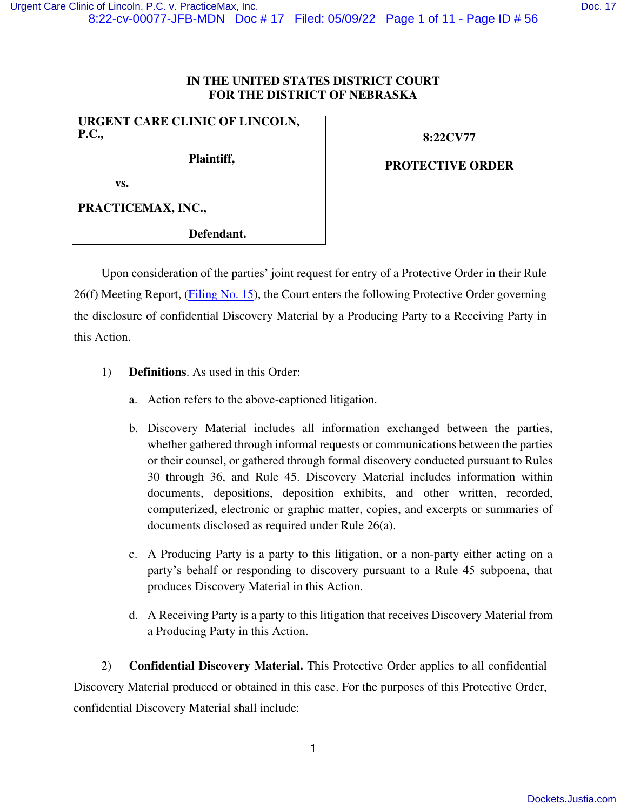## **IN THE UNITED STATES DISTRICT COURT FOR THE DISTRICT OF NEBRASKA**

### **URGENT CARE CLINIC OF LINCOLN, P.C.,**

**Plaintiff,** 

**8:22CV77** 

**PROTECTIVE ORDER** 

 **vs.** 

**PRACTICEMAX, INC.,** 

**Defendant.**

Upon consideration of the parties' joint request for entry of a Protective Order in their Rule 26(f) Meeting Report, [\(Filing No. 15\)](https://ecf.ned.uscourts.gov/doc1/11314953093), the Court enters the following Protective Order governing the disclosure of confidential Discovery Material by a Producing Party to a Receiving Party in this Action.

- 1) **Definitions**. As used in this Order:
	- a. Action refers to the above-captioned litigation.
	- b. Discovery Material includes all information exchanged between the parties, whether gathered through informal requests or communications between the parties or their counsel, or gathered through formal discovery conducted pursuant to Rules 30 through 36, and Rule 45. Discovery Material includes information within documents, depositions, deposition exhibits, and other written, recorded, computerized, electronic or graphic matter, copies, and excerpts or summaries of documents disclosed as required under Rule 26(a).
	- c. A Producing Party is a party to this litigation, or a non-party either acting on a party's behalf or responding to discovery pursuant to a Rule 45 subpoena, that produces Discovery Material in this Action.
	- d. A Receiving Party is a party to this litigation that receives Discovery Material from a Producing Party in this Action.

2) **Confidential Discovery Material.** This Protective Order applies to all confidential Discovery Material produced or obtained in this case. For the purposes of this Protective Order, confidential Discovery Material shall include: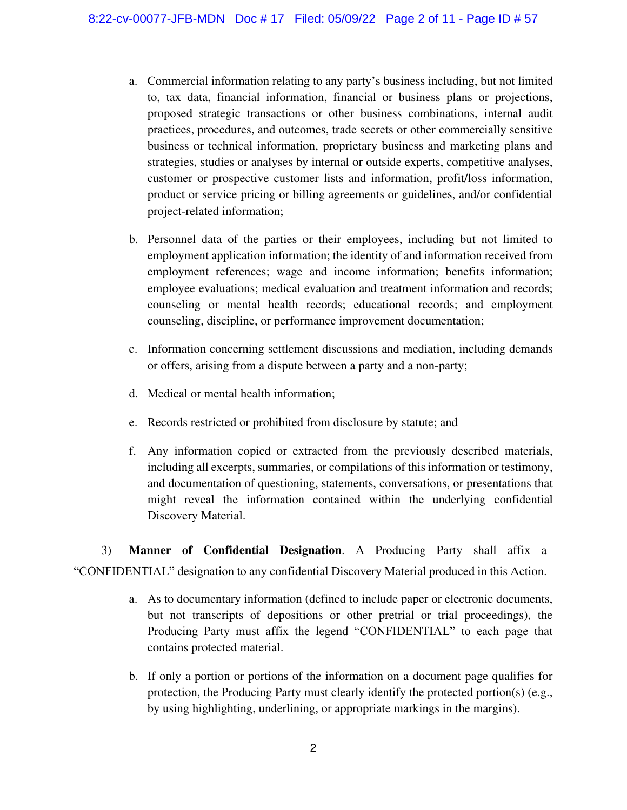- a. Commercial information relating to any party's business including, but not limited to, tax data, financial information, financial or business plans or projections, proposed strategic transactions or other business combinations, internal audit practices, procedures, and outcomes, trade secrets or other commercially sensitive business or technical information, proprietary business and marketing plans and strategies, studies or analyses by internal or outside experts, competitive analyses, customer or prospective customer lists and information, profit/loss information, product or service pricing or billing agreements or guidelines, and/or confidential project-related information;
- b. Personnel data of the parties or their employees, including but not limited to employment application information; the identity of and information received from employment references; wage and income information; benefits information; employee evaluations; medical evaluation and treatment information and records; counseling or mental health records; educational records; and employment counseling, discipline, or performance improvement documentation;
- c. Information concerning settlement discussions and mediation, including demands or offers, arising from a dispute between a party and a non-party;
- d. Medical or mental health information;
- e. Records restricted or prohibited from disclosure by statute; and
- f. Any information copied or extracted from the previously described materials, including all excerpts, summaries, or compilations of this information or testimony, and documentation of questioning, statements, conversations, or presentations that might reveal the information contained within the underlying confidential Discovery Material.

3) **Manner of Confidential Designation**. A Producing Party shall affix a "CONFIDENTIAL" designation to any confidential Discovery Material produced in this Action.

- a. As to documentary information (defined to include paper or electronic documents, but not transcripts of depositions or other pretrial or trial proceedings), the Producing Party must affix the legend "CONFIDENTIAL" to each page that contains protected material.
- b. If only a portion or portions of the information on a document page qualifies for protection, the Producing Party must clearly identify the protected portion(s) (e.g., by using highlighting, underlining, or appropriate markings in the margins).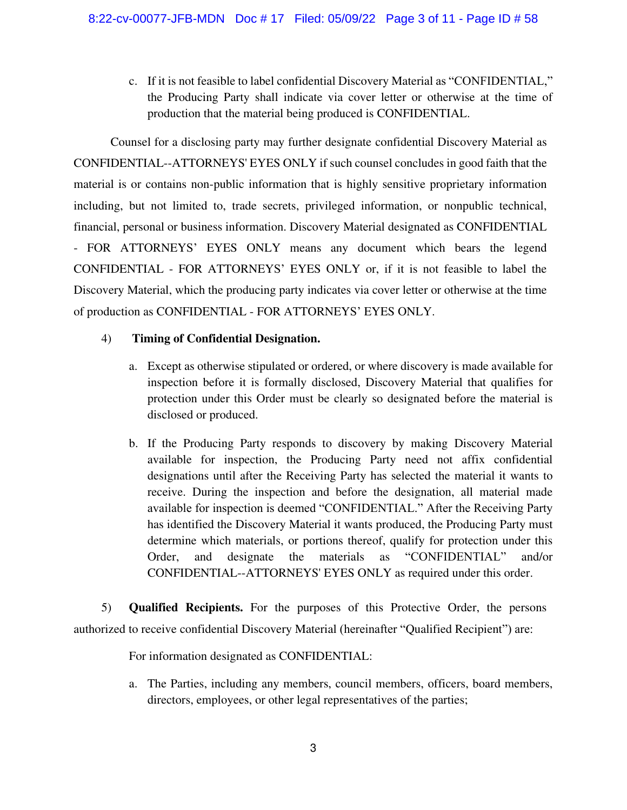c. If it is not feasible to label confidential Discovery Material as "CONFIDENTIAL," the Producing Party shall indicate via cover letter or otherwise at the time of production that the material being produced is CONFIDENTIAL.

Counsel for a disclosing party may further designate confidential Discovery Material as CONFIDENTIAL--ATTORNEYS' EYES ONLY if such counsel concludes in good faith that the material is or contains non-public information that is highly sensitive proprietary information including, but not limited to, trade secrets, privileged information, or nonpublic technical, financial, personal or business information. Discovery Material designated as CONFIDENTIAL - FOR ATTORNEYS' EYES ONLY means any document which bears the legend CONFIDENTIAL - FOR ATTORNEYS' EYES ONLY or, if it is not feasible to label the Discovery Material, which the producing party indicates via cover letter or otherwise at the time of production as CONFIDENTIAL - FOR ATTORNEYS' EYES ONLY.

## 4) **Timing of Confidential Designation.**

- a. Except as otherwise stipulated or ordered, or where discovery is made available for inspection before it is formally disclosed, Discovery Material that qualifies for protection under this Order must be clearly so designated before the material is disclosed or produced.
- b. If the Producing Party responds to discovery by making Discovery Material available for inspection, the Producing Party need not affix confidential designations until after the Receiving Party has selected the material it wants to receive. During the inspection and before the designation, all material made available for inspection is deemed "CONFIDENTIAL." After the Receiving Party has identified the Discovery Material it wants produced, the Producing Party must determine which materials, or portions thereof, qualify for protection under this Order, and designate the materials as "CONFIDENTIAL" and/or CONFIDENTIAL--ATTORNEYS' EYES ONLY as required under this order.

5) **Qualified Recipients.** For the purposes of this Protective Order, the persons authorized to receive confidential Discovery Material (hereinafter "Qualified Recipient") are:

For information designated as CONFIDENTIAL:

a. The Parties, including any members, council members, officers, board members, directors, employees, or other legal representatives of the parties;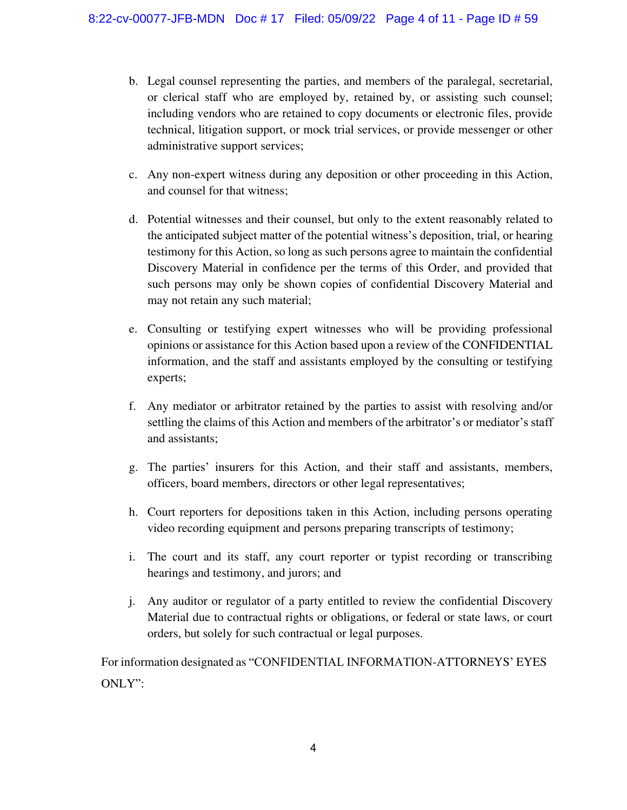- b. Legal counsel representing the parties, and members of the paralegal, secretarial, or clerical staff who are employed by, retained by, or assisting such counsel; including vendors who are retained to copy documents or electronic files, provide technical, litigation support, or mock trial services, or provide messenger or other administrative support services;
- c. Any non-expert witness during any deposition or other proceeding in this Action, and counsel for that witness;
- d. Potential witnesses and their counsel, but only to the extent reasonably related to the anticipated subject matter of the potential witness's deposition, trial, or hearing testimony for this Action, so long as such persons agree to maintain the confidential Discovery Material in confidence per the terms of this Order, and provided that such persons may only be shown copies of confidential Discovery Material and may not retain any such material;
- e. Consulting or testifying expert witnesses who will be providing professional opinions or assistance for this Action based upon a review of the CONFIDENTIAL information, and the staff and assistants employed by the consulting or testifying experts;
- f. Any mediator or arbitrator retained by the parties to assist with resolving and/or settling the claims of this Action and members of the arbitrator's or mediator's staff and assistants;
- g. The parties' insurers for this Action, and their staff and assistants, members, officers, board members, directors or other legal representatives;
- h. Court reporters for depositions taken in this Action, including persons operating video recording equipment and persons preparing transcripts of testimony;
- i. The court and its staff, any court reporter or typist recording or transcribing hearings and testimony, and jurors; and
- j. Any auditor or regulator of a party entitled to review the confidential Discovery Material due to contractual rights or obligations, or federal or state laws, or court orders, but solely for such contractual or legal purposes.

For information designated as "CONFIDENTIAL INFORMATION-ATTORNEYS' EYES ONLY":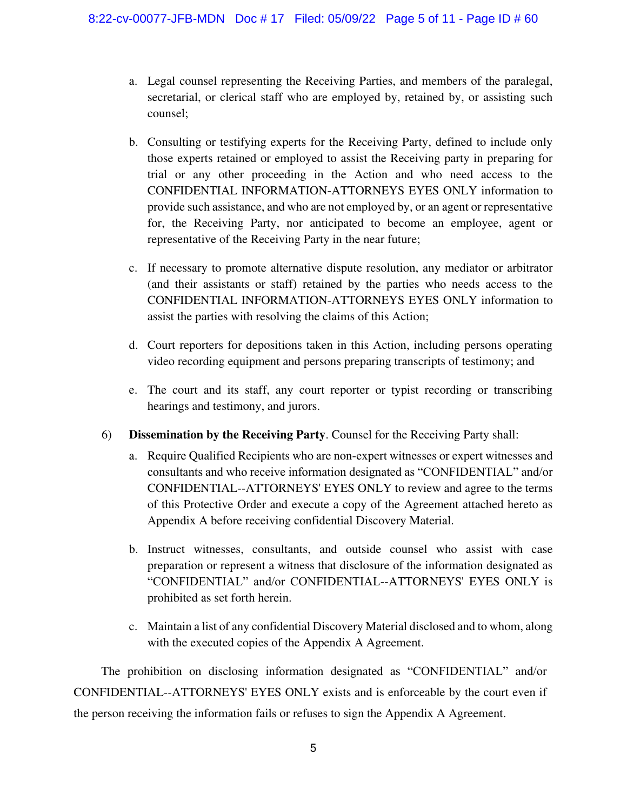- a. Legal counsel representing the Receiving Parties, and members of the paralegal, secretarial, or clerical staff who are employed by, retained by, or assisting such counsel;
- b. Consulting or testifying experts for the Receiving Party, defined to include only those experts retained or employed to assist the Receiving party in preparing for trial or any other proceeding in the Action and who need access to the CONFIDENTIAL INFORMATION-ATTORNEYS EYES ONLY information to provide such assistance, and who are not employed by, or an agent or representative for, the Receiving Party, nor anticipated to become an employee, agent or representative of the Receiving Party in the near future;
- c. If necessary to promote alternative dispute resolution, any mediator or arbitrator (and their assistants or staff) retained by the parties who needs access to the CONFIDENTIAL INFORMATION-ATTORNEYS EYES ONLY information to assist the parties with resolving the claims of this Action;
- d. Court reporters for depositions taken in this Action, including persons operating video recording equipment and persons preparing transcripts of testimony; and
- e. The court and its staff, any court reporter or typist recording or transcribing hearings and testimony, and jurors.
- 6) **Dissemination by the Receiving Party**. Counsel for the Receiving Party shall:
	- a. Require Qualified Recipients who are non-expert witnesses or expert witnesses and consultants and who receive information designated as "CONFIDENTIAL" and/or CONFIDENTIAL--ATTORNEYS' EYES ONLY to review and agree to the terms of this Protective Order and execute a copy of the Agreement attached hereto as Appendix A before receiving confidential Discovery Material.
	- b. Instruct witnesses, consultants, and outside counsel who assist with case preparation or represent a witness that disclosure of the information designated as "CONFIDENTIAL" and/or CONFIDENTIAL--ATTORNEYS' EYES ONLY is prohibited as set forth herein.
	- c. Maintain a list of any confidential Discovery Material disclosed and to whom, along with the executed copies of the Appendix A Agreement.

The prohibition on disclosing information designated as "CONFIDENTIAL" and/or CONFIDENTIAL--ATTORNEYS' EYES ONLY exists and is enforceable by the court even if the person receiving the information fails or refuses to sign the Appendix A Agreement.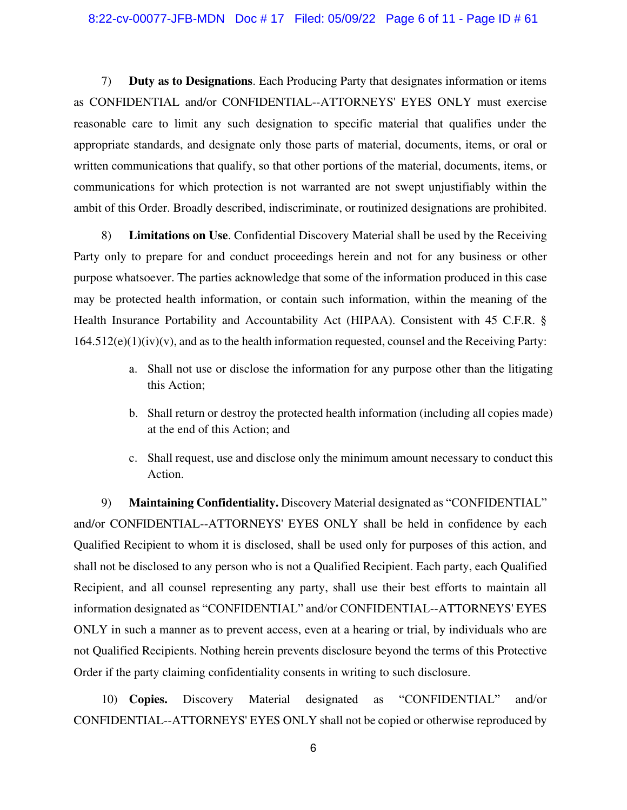7) **Duty as to Designations**. Each Producing Party that designates information or items as CONFIDENTIAL and/or CONFIDENTIAL--ATTORNEYS' EYES ONLY must exercise reasonable care to limit any such designation to specific material that qualifies under the appropriate standards, and designate only those parts of material, documents, items, or oral or written communications that qualify, so that other portions of the material, documents, items, or communications for which protection is not warranted are not swept unjustifiably within the ambit of this Order. Broadly described, indiscriminate, or routinized designations are prohibited.

8) **Limitations on Use**. Confidential Discovery Material shall be used by the Receiving Party only to prepare for and conduct proceedings herein and not for any business or other purpose whatsoever. The parties acknowledge that some of the information produced in this case may be protected health information, or contain such information, within the meaning of the Health Insurance Portability and Accountability Act (HIPAA). Consistent with 45 C.F.R. §  $164.512(e)(1)(iv)(v)$ , and as to the health information requested, counsel and the Receiving Party:

- a. Shall not use or disclose the information for any purpose other than the litigating this Action;
- b. Shall return or destroy the protected health information (including all copies made) at the end of this Action; and
- c. Shall request, use and disclose only the minimum amount necessary to conduct this Action.

9) **Maintaining Confidentiality.** Discovery Material designated as "CONFIDENTIAL" and/or CONFIDENTIAL--ATTORNEYS' EYES ONLY shall be held in confidence by each Qualified Recipient to whom it is disclosed, shall be used only for purposes of this action, and shall not be disclosed to any person who is not a Qualified Recipient. Each party, each Qualified Recipient, and all counsel representing any party, shall use their best efforts to maintain all information designated as "CONFIDENTIAL" and/or CONFIDENTIAL--ATTORNEYS' EYES ONLY in such a manner as to prevent access, even at a hearing or trial, by individuals who are not Qualified Recipients. Nothing herein prevents disclosure beyond the terms of this Protective Order if the party claiming confidentiality consents in writing to such disclosure.

10) **Copies.** Discovery Material designated as "CONFIDENTIAL" and/or CONFIDENTIAL--ATTORNEYS' EYES ONLY shall not be copied or otherwise reproduced by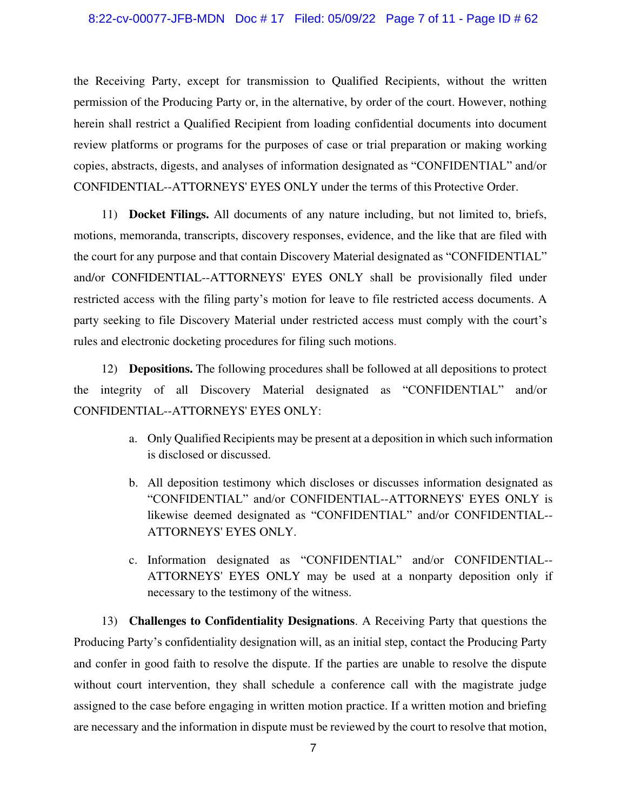#### 8:22-cv-00077-JFB-MDN Doc #17 Filed: 05/09/22 Page 7 of 11 - Page ID #62

the Receiving Party, except for transmission to Qualified Recipients, without the written permission of the Producing Party or, in the alternative, by order of the court. However, nothing herein shall restrict a Qualified Recipient from loading confidential documents into document review platforms or programs for the purposes of case or trial preparation or making working copies, abstracts, digests, and analyses of information designated as "CONFIDENTIAL" and/or CONFIDENTIAL--ATTORNEYS' EYES ONLY under the terms of this Protective Order.

11) **Docket Filings.** All documents of any nature including, but not limited to, briefs, motions, memoranda, transcripts, discovery responses, evidence, and the like that are filed with the court for any purpose and that contain Discovery Material designated as "CONFIDENTIAL" and/or CONFIDENTIAL--ATTORNEYS' EYES ONLY shall be provisionally filed under restricted access with the filing party's motion for leave to file restricted access documents. A party seeking to file Discovery Material under restricted access must comply with the court's rules and electronic docketing procedures for filing such motions.

12) **Depositions.** The following procedures shall be followed at all depositions to protect the integrity of all Discovery Material designated as "CONFIDENTIAL" and/or CONFIDENTIAL--ATTORNEYS' EYES ONLY:

- a. Only Qualified Recipients may be present at a deposition in which such information is disclosed or discussed.
- b. All deposition testimony which discloses or discusses information designated as "CONFIDENTIAL" and/or CONFIDENTIAL--ATTORNEYS' EYES ONLY is likewise deemed designated as "CONFIDENTIAL" and/or CONFIDENTIAL--ATTORNEYS' EYES ONLY.
- c. Information designated as "CONFIDENTIAL" and/or CONFIDENTIAL-- ATTORNEYS' EYES ONLY may be used at a nonparty deposition only if necessary to the testimony of the witness.

13) **Challenges to Confidentiality Designations**. A Receiving Party that questions the Producing Party's confidentiality designation will, as an initial step, contact the Producing Party and confer in good faith to resolve the dispute. If the parties are unable to resolve the dispute without court intervention, they shall schedule a conference call with the magistrate judge assigned to the case before engaging in written motion practice. If a written motion and briefing are necessary and the information in dispute must be reviewed by the court to resolve that motion,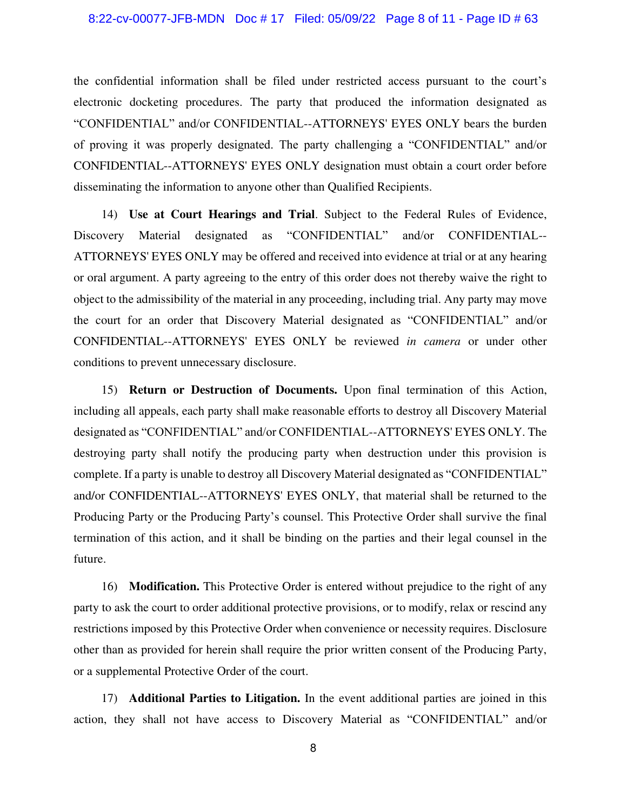#### 8:22-cv-00077-JFB-MDN Doc # 17 Filed: 05/09/22 Page 8 of 11 - Page ID # 63

the confidential information shall be filed under restricted access pursuant to the court's electronic docketing procedures. The party that produced the information designated as "CONFIDENTIAL" and/or CONFIDENTIAL--ATTORNEYS' EYES ONLY bears the burden of proving it was properly designated. The party challenging a "CONFIDENTIAL" and/or CONFIDENTIAL--ATTORNEYS' EYES ONLY designation must obtain a court order before disseminating the information to anyone other than Qualified Recipients.

14) **Use at Court Hearings and Trial**. Subject to the Federal Rules of Evidence, Discovery Material designated as "CONFIDENTIAL" and/or CONFIDENTIAL--ATTORNEYS' EYES ONLY may be offered and received into evidence at trial or at any hearing or oral argument. A party agreeing to the entry of this order does not thereby waive the right to object to the admissibility of the material in any proceeding, including trial. Any party may move the court for an order that Discovery Material designated as "CONFIDENTIAL" and/or CONFIDENTIAL--ATTORNEYS' EYES ONLY be reviewed *in camera* or under other conditions to prevent unnecessary disclosure.

15) **Return or Destruction of Documents.** Upon final termination of this Action, including all appeals, each party shall make reasonable efforts to destroy all Discovery Material designated as "CONFIDENTIAL" and/or CONFIDENTIAL--ATTORNEYS' EYES ONLY. The destroying party shall notify the producing party when destruction under this provision is complete. If a party is unable to destroy all Discovery Material designated as "CONFIDENTIAL" and/or CONFIDENTIAL--ATTORNEYS' EYES ONLY, that material shall be returned to the Producing Party or the Producing Party's counsel. This Protective Order shall survive the final termination of this action, and it shall be binding on the parties and their legal counsel in the future.

16) **Modification.** This Protective Order is entered without prejudice to the right of any party to ask the court to order additional protective provisions, or to modify, relax or rescind any restrictions imposed by this Protective Order when convenience or necessity requires. Disclosure other than as provided for herein shall require the prior written consent of the Producing Party, or a supplemental Protective Order of the court.

17) **Additional Parties to Litigation.** In the event additional parties are joined in this action, they shall not have access to Discovery Material as "CONFIDENTIAL" and/or

8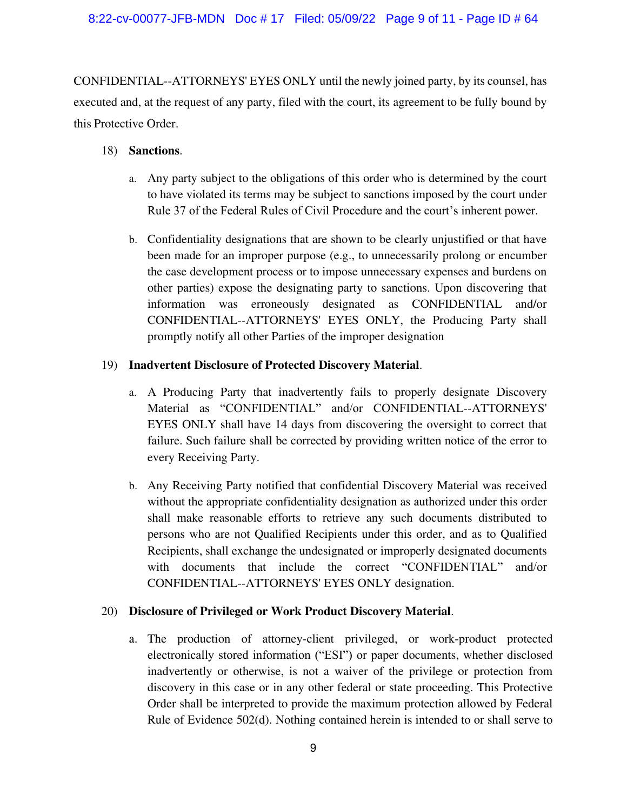### 8:22-cv-00077-JFB-MDN Doc # 17 Filed: 05/09/22 Page 9 of 11 - Page ID # 64

CONFIDENTIAL--ATTORNEYS' EYES ONLY until the newly joined party, by its counsel, has executed and, at the request of any party, filed with the court, its agreement to be fully bound by this Protective Order.

### 18) **Sanctions**.

- a. Any party subject to the obligations of this order who is determined by the court to have violated its terms may be subject to sanctions imposed by the court under Rule 37 of the Federal Rules of Civil Procedure and the court's inherent power.
- b. Confidentiality designations that are shown to be clearly unjustified or that have been made for an improper purpose (e.g., to unnecessarily prolong or encumber the case development process or to impose unnecessary expenses and burdens on other parties) expose the designating party to sanctions. Upon discovering that information was erroneously designated as CONFIDENTIAL and/or CONFIDENTIAL--ATTORNEYS' EYES ONLY, the Producing Party shall promptly notify all other Parties of the improper designation

## 19) **Inadvertent Disclosure of Protected Discovery Material**.

- a. A Producing Party that inadvertently fails to properly designate Discovery Material as "CONFIDENTIAL" and/or CONFIDENTIAL--ATTORNEYS' EYES ONLY shall have 14 days from discovering the oversight to correct that failure. Such failure shall be corrected by providing written notice of the error to every Receiving Party.
- b. Any Receiving Party notified that confidential Discovery Material was received without the appropriate confidentiality designation as authorized under this order shall make reasonable efforts to retrieve any such documents distributed to persons who are not Qualified Recipients under this order, and as to Qualified Recipients, shall exchange the undesignated or improperly designated documents with documents that include the correct "CONFIDENTIAL" and/or CONFIDENTIAL--ATTORNEYS' EYES ONLY designation.

## 20) **Disclosure of Privileged or Work Product Discovery Material**.

a. The production of attorney-client privileged, or work-product protected electronically stored information ("ESI") or paper documents, whether disclosed inadvertently or otherwise, is not a waiver of the privilege or protection from discovery in this case or in any other federal or state proceeding. This Protective Order shall be interpreted to provide the maximum protection allowed by Federal Rule of Evidence 502(d). Nothing contained herein is intended to or shall serve to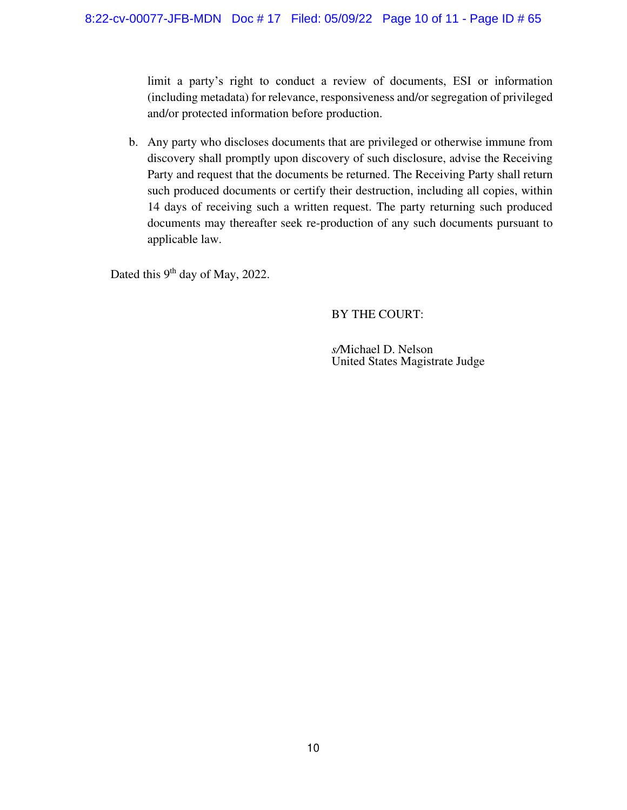limit a party's right to conduct a review of documents, ESI or information (including metadata) for relevance, responsiveness and/or segregation of privileged and/or protected information before production.

b. Any party who discloses documents that are privileged or otherwise immune from discovery shall promptly upon discovery of such disclosure, advise the Receiving Party and request that the documents be returned. The Receiving Party shall return such produced documents or certify their destruction, including all copies, within 14 days of receiving such a written request. The party returning such produced documents may thereafter seek re-production of any such documents pursuant to applicable law.

Dated this 9<sup>th</sup> day of May, 2022.

# BY THE COURT:

*s/*Michael D. Nelson United States Magistrate Judge